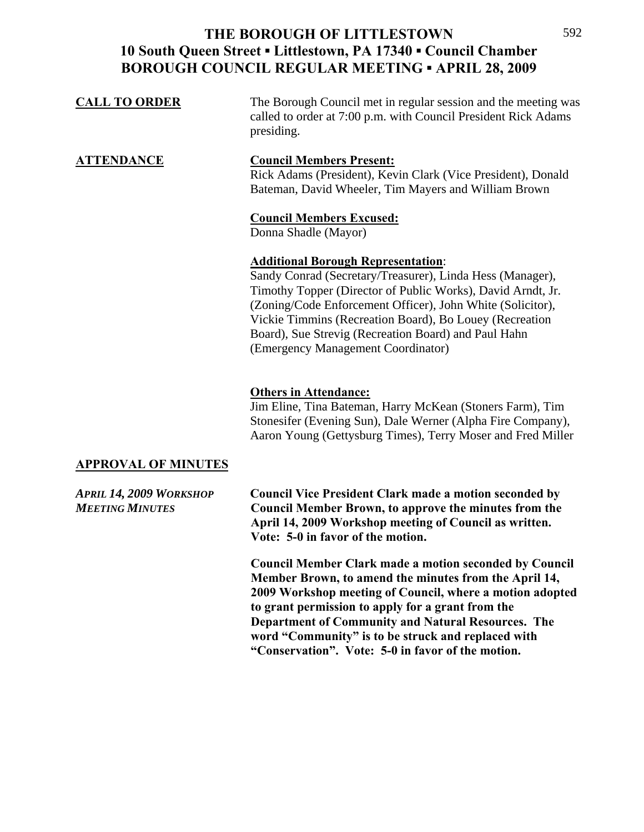| <b>CALL TO ORDER</b> | The Borough Council met in regular session and the meeting was<br>called to order at 7:00 p.m. with Council President Rick Adams<br>presiding.                                                                                                                                                                                                                                               |
|----------------------|----------------------------------------------------------------------------------------------------------------------------------------------------------------------------------------------------------------------------------------------------------------------------------------------------------------------------------------------------------------------------------------------|
| <b>ATTENDANCE</b>    | <b>Council Members Present:</b><br>Rick Adams (President), Kevin Clark (Vice President), Donald<br>Bateman, David Wheeler, Tim Mayers and William Brown                                                                                                                                                                                                                                      |
|                      | <b>Council Members Excused:</b><br>Donna Shadle (Mayor)                                                                                                                                                                                                                                                                                                                                      |
|                      | <b>Additional Borough Representation:</b><br>Sandy Conrad (Secretary/Treasurer), Linda Hess (Manager),<br>Timothy Topper (Director of Public Works), David Arndt, Jr.<br>(Zoning/Code Enforcement Officer), John White (Solicitor),<br>Vickie Timmins (Recreation Board), Bo Louey (Recreation<br>Board), Sue Strevig (Recreation Board) and Paul Hahn<br>(Emergency Management Coordinator) |

### **Others in Attendance:**

Jim Eline, Tina Bateman, Harry McKean (Stoners Farm), Tim Stonesifer (Evening Sun), Dale Werner (Alpha Fire Company), Aaron Young (Gettysburg Times), Terry Moser and Fred Miller

### **APPROVAL OF MINUTES**

*APRIL 14, 2009 WORKSHOP* **Council Vice President Clark made a motion seconded by**  *MEETING MINUTES* **Council Member Brown, to approve the minutes from the April 14, 2009 Workshop meeting of Council as written. Vote: 5-0 in favor of the motion.** 

> **Council Member Clark made a motion seconded by Council Member Brown, to amend the minutes from the April 14, 2009 Workshop meeting of Council, where a motion adopted to grant permission to apply for a grant from the Department of Community and Natural Resources. The word "Community" is to be struck and replaced with "Conservation". Vote: 5-0 in favor of the motion.**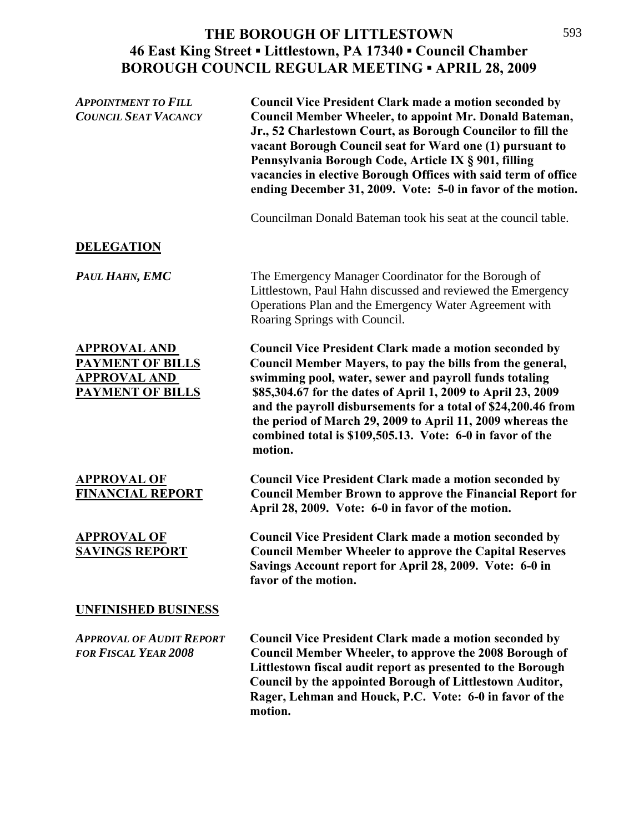### **THE BOROUGH OF LITTLESTOWN 46 East King Street ▪ Littlestown, PA 17340 ▪ Council Chamber BOROUGH COUNCIL REGULAR MEETING ▪ APRIL 28, 2009**  $\frac{1}{2}$

| <b>APPOINTMENT TO FILL</b><br><b>COUNCIL SEAT VACANCY</b>                                 | <b>Council Vice President Clark made a motion seconded by</b><br>Council Member Wheeler, to appoint Mr. Donald Bateman,<br>Jr., 52 Charlestown Court, as Borough Councilor to fill the<br>vacant Borough Council seat for Ward one (1) pursuant to<br>Pennsylvania Borough Code, Article IX § 901, filling<br>vacancies in elective Borough Offices with said term of office<br>ending December 31, 2009. Vote: 5-0 in favor of the motion.                 |
|-------------------------------------------------------------------------------------------|-------------------------------------------------------------------------------------------------------------------------------------------------------------------------------------------------------------------------------------------------------------------------------------------------------------------------------------------------------------------------------------------------------------------------------------------------------------|
|                                                                                           | Councilman Donald Bateman took his seat at the council table.                                                                                                                                                                                                                                                                                                                                                                                               |
| <b>DELEGATION</b>                                                                         |                                                                                                                                                                                                                                                                                                                                                                                                                                                             |
| PAUL HAHN, EMC                                                                            | The Emergency Manager Coordinator for the Borough of<br>Littlestown, Paul Hahn discussed and reviewed the Emergency<br>Operations Plan and the Emergency Water Agreement with<br>Roaring Springs with Council.                                                                                                                                                                                                                                              |
| <b>APPROVAL AND</b><br><b>PAYMENT OF BILLS</b><br><b>APPROVAL AND</b><br>PAYMENT OF BILLS | <b>Council Vice President Clark made a motion seconded by</b><br>Council Member Mayers, to pay the bills from the general,<br>swimming pool, water, sewer and payroll funds totaling<br>\$85,304.67 for the dates of April 1, 2009 to April 23, 2009<br>and the payroll disbursements for a total of \$24,200.46 from<br>the period of March 29, 2009 to April 11, 2009 whereas the<br>combined total is \$109,505.13. Vote: 6-0 in favor of the<br>motion. |
| <b>APPROVAL OF</b><br><b>FINANCIAL REPORT</b>                                             | <b>Council Vice President Clark made a motion seconded by</b><br><b>Council Member Brown to approve the Financial Report for</b><br>April 28, 2009. Vote: 6-0 in favor of the motion.                                                                                                                                                                                                                                                                       |
| <b>APPROVAL OF</b><br><b>SAVINGS REPORT</b>                                               | <b>Council Vice President Clark made a motion seconded by</b><br><b>Council Member Wheeler to approve the Capital Reserves</b><br>Savings Account report for April 28, 2009. Vote: 6-0 in<br>favor of the motion.                                                                                                                                                                                                                                           |
| <b>UNFINISHED BUSINESS</b>                                                                |                                                                                                                                                                                                                                                                                                                                                                                                                                                             |
| <b>APPROVAL OF AUDIT REPORT</b><br><b>FOR FISCAL YEAR 2008</b>                            | <b>Council Vice President Clark made a motion seconded by</b><br><b>Council Member Wheeler, to approve the 2008 Borough of</b><br>Littlestown fiscal audit report as presented to the Borough<br>Council by the appointed Borough of Littlestown Auditor,<br>Rager, Lehman and Houck, P.C. Vote: 6-0 in favor of the<br>motion.                                                                                                                             |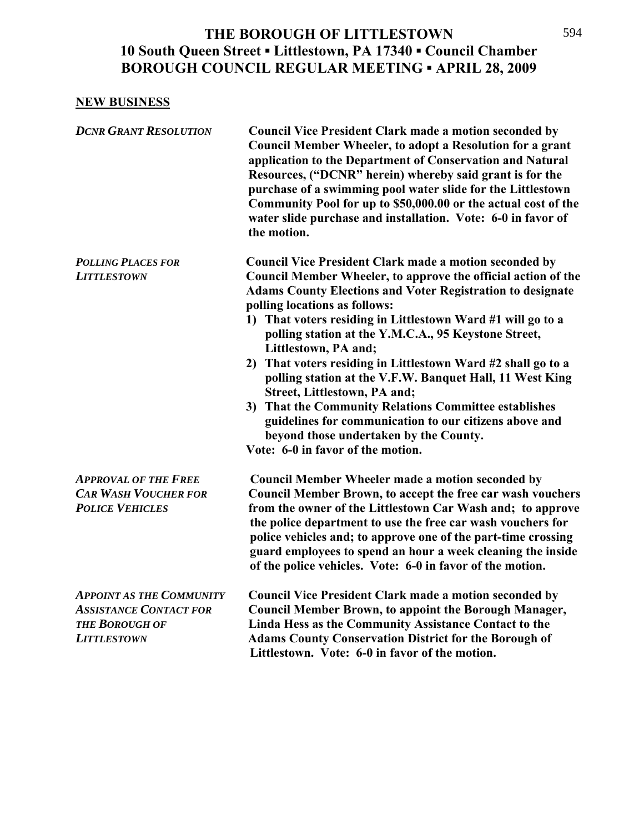## **NEW BUSINESS**

| <b>DCNR GRANT RESOLUTION</b>                                                                                    | <b>Council Vice President Clark made a motion seconded by</b><br><b>Council Member Wheeler, to adopt a Resolution for a grant</b><br>application to the Department of Conservation and Natural<br>Resources, ("DCNR" herein) whereby said grant is for the<br>purchase of a swimming pool water slide for the Littlestown<br>Community Pool for up to \$50,000.00 or the actual cost of the<br>water slide purchase and installation. Vote: 6-0 in favor of<br>the motion.                                                                                                                                                                                                                                                                                        |
|-----------------------------------------------------------------------------------------------------------------|-------------------------------------------------------------------------------------------------------------------------------------------------------------------------------------------------------------------------------------------------------------------------------------------------------------------------------------------------------------------------------------------------------------------------------------------------------------------------------------------------------------------------------------------------------------------------------------------------------------------------------------------------------------------------------------------------------------------------------------------------------------------|
| <b>POLLING PLACES FOR</b><br><b>LITTLESTOWN</b>                                                                 | <b>Council Vice President Clark made a motion seconded by</b><br>Council Member Wheeler, to approve the official action of the<br><b>Adams County Elections and Voter Registration to designate</b><br>polling locations as follows:<br>That voters residing in Littlestown Ward #1 will go to a<br>$\bf{1)}$<br>polling station at the Y.M.C.A., 95 Keystone Street,<br>Littlestown, PA and;<br>That voters residing in Littlestown Ward #2 shall go to a<br>2)<br>polling station at the V.F.W. Banquet Hall, 11 West King<br>Street, Littlestown, PA and;<br>That the Community Relations Committee establishes<br>3)<br>guidelines for communication to our citizens above and<br>beyond those undertaken by the County.<br>Vote: 6-0 in favor of the motion. |
| <b>APPROVAL OF THE FREE</b><br><b>CAR WASH VOUCHER FOR</b><br><b>POLICE VEHICLES</b>                            | <b>Council Member Wheeler made a motion seconded by</b><br>Council Member Brown, to accept the free car wash vouchers<br>from the owner of the Littlestown Car Wash and; to approve<br>the police department to use the free car wash vouchers for<br>police vehicles and; to approve one of the part-time crossing<br>guard employees to spend an hour a week cleaning the inside<br>of the police vehicles. Vote: 6-0 in favor of the motion.                                                                                                                                                                                                                                                                                                                   |
| <b>APPOINT AS THE COMMUNITY</b><br><b>ASSISTANCE CONTACT FOR</b><br><b>THE BOROUGH OF</b><br><b>LITTLESTOWN</b> | <b>Council Vice President Clark made a motion seconded by</b><br><b>Council Member Brown, to appoint the Borough Manager,</b><br>Linda Hess as the Community Assistance Contact to the<br><b>Adams County Conservation District for the Borough of</b><br>Littlestown. Vote: 6-0 in favor of the motion.                                                                                                                                                                                                                                                                                                                                                                                                                                                          |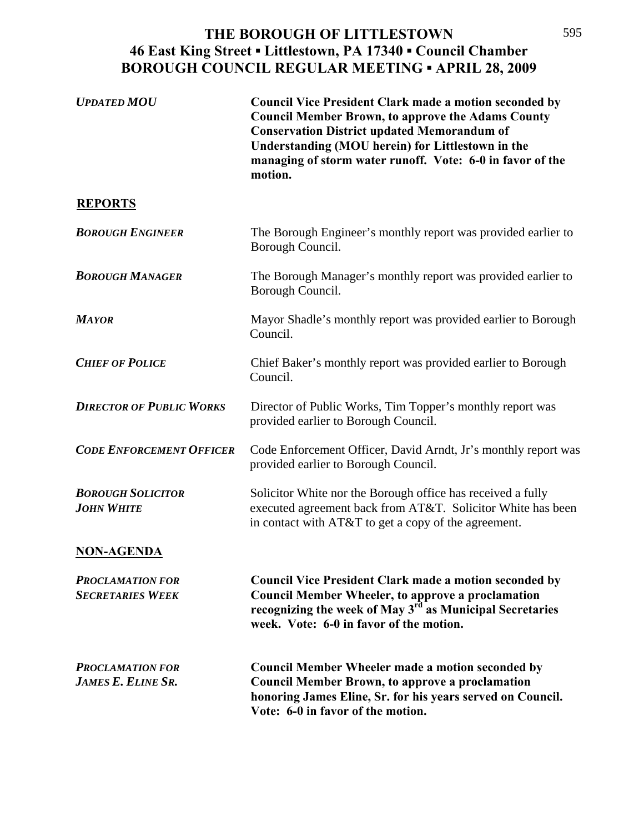### **THE BOROUGH OF LITTLESTOWN 46 East King Street ▪ Littlestown, PA 17340 ▪ Council Chamber BOROUGH COUNCIL REGULAR MEETING ▪ APRIL 28, 2009**  $\frac{1}{2}$

| <b>UPDATED MOU</b>                                   | <b>Council Vice President Clark made a motion seconded by</b><br><b>Council Member Brown, to approve the Adams County</b><br><b>Conservation District updated Memorandum of</b><br>Understanding (MOU herein) for Littlestown in the<br>managing of storm water runoff. Vote: 6-0 in favor of the<br>motion. |
|------------------------------------------------------|--------------------------------------------------------------------------------------------------------------------------------------------------------------------------------------------------------------------------------------------------------------------------------------------------------------|
| <b>REPORTS</b>                                       |                                                                                                                                                                                                                                                                                                              |
| <b>BOROUGH ENGINEER</b>                              | The Borough Engineer's monthly report was provided earlier to<br>Borough Council.                                                                                                                                                                                                                            |
| <b>BOROUGH MANAGER</b>                               | The Borough Manager's monthly report was provided earlier to<br>Borough Council.                                                                                                                                                                                                                             |
| <b>MAYOR</b>                                         | Mayor Shadle's monthly report was provided earlier to Borough<br>Council.                                                                                                                                                                                                                                    |
| <b>CHIEF OF POLICE</b>                               | Chief Baker's monthly report was provided earlier to Borough<br>Council.                                                                                                                                                                                                                                     |
| <b>DIRECTOR OF PUBLIC WORKS</b>                      | Director of Public Works, Tim Topper's monthly report was<br>provided earlier to Borough Council.                                                                                                                                                                                                            |
| <b>CODE ENFORCEMENT OFFICER</b>                      | Code Enforcement Officer, David Arndt, Jr's monthly report was<br>provided earlier to Borough Council.                                                                                                                                                                                                       |
| <b>BOROUGH SOLICITOR</b><br><b>JOHN WHITE</b>        | Solicitor White nor the Borough office has received a fully<br>executed agreement back from AT&T. Solicitor White has been<br>in contact with AT&T to get a copy of the agreement.                                                                                                                           |
| <b>NON-AGENDA</b>                                    |                                                                                                                                                                                                                                                                                                              |
| <b>PROCLAMATION FOR</b><br><b>SECRETARIES WEEK</b>   | <b>Council Vice President Clark made a motion seconded by</b><br><b>Council Member Wheeler, to approve a proclamation</b><br>recognizing the week of May 3 <sup>rd</sup> as Municipal Secretaries<br>week. Vote: 6-0 in favor of the motion.                                                                 |
| <b>PROCLAMATION FOR</b><br><b>JAMES E. ELINE SR.</b> | <b>Council Member Wheeler made a motion seconded by</b><br><b>Council Member Brown, to approve a proclamation</b><br>honoring James Eline, Sr. for his years served on Council.<br>Vote: 6-0 in favor of the motion.                                                                                         |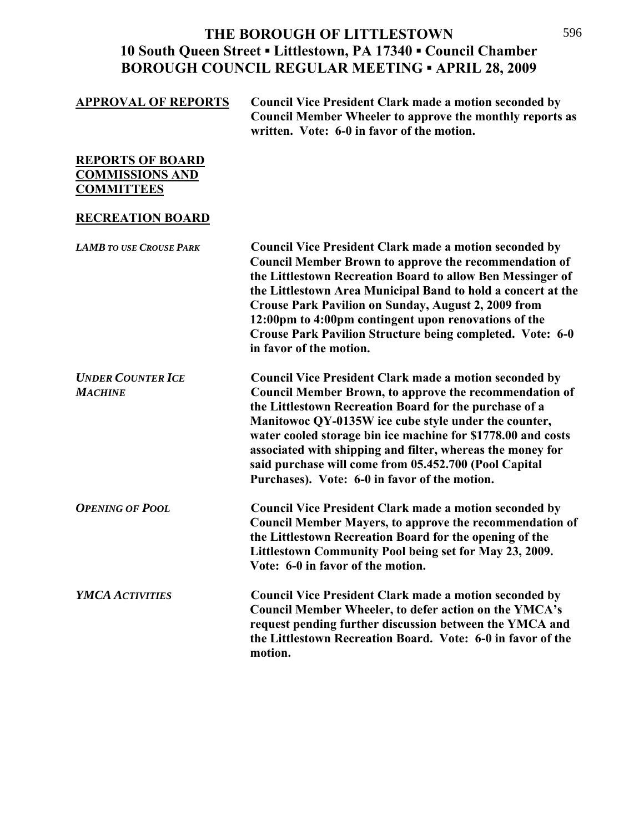| <b>APPROVAL OF REPORTS</b>                                             | <b>Council Vice President Clark made a motion seconded by</b><br><b>Council Member Wheeler to approve the monthly reports as</b><br>written. Vote: 6-0 in favor of the motion.                                                                                                                                                                                                                                                                                                    |
|------------------------------------------------------------------------|-----------------------------------------------------------------------------------------------------------------------------------------------------------------------------------------------------------------------------------------------------------------------------------------------------------------------------------------------------------------------------------------------------------------------------------------------------------------------------------|
| <b>REPORTS OF BOARD</b><br><b>COMMISSIONS AND</b><br><b>COMMITTEES</b> |                                                                                                                                                                                                                                                                                                                                                                                                                                                                                   |
| <b>RECREATION BOARD</b>                                                |                                                                                                                                                                                                                                                                                                                                                                                                                                                                                   |
| <b>LAMB TO USE CROUSE PARK</b>                                         | <b>Council Vice President Clark made a motion seconded by</b><br><b>Council Member Brown to approve the recommendation of</b><br>the Littlestown Recreation Board to allow Ben Messinger of<br>the Littlestown Area Municipal Band to hold a concert at the<br><b>Crouse Park Pavilion on Sunday, August 2, 2009 from</b><br>12:00pm to 4:00pm contingent upon renovations of the<br>Crouse Park Pavilion Structure being completed. Vote: 6-0<br>in favor of the motion.         |
| <b>UNDER COUNTER ICE</b><br><b>MACHINE</b>                             | <b>Council Vice President Clark made a motion seconded by</b><br>Council Member Brown, to approve the recommendation of<br>the Littlestown Recreation Board for the purchase of a<br>Manitowoc QY-0135W ice cube style under the counter,<br>water cooled storage bin ice machine for \$1778.00 and costs<br>associated with shipping and filter, whereas the money for<br>said purchase will come from 05.452.700 (Pool Capital<br>Purchases). Vote: 6-0 in favor of the motion. |
| <b>OPENING OF POOL</b>                                                 | <b>Council Vice President Clark made a motion seconded by</b><br><b>Council Member Mayers, to approve the recommendation of</b><br>the Littlestown Recreation Board for the opening of the<br>Littlestown Community Pool being set for May 23, 2009.<br>Vote: 6-0 in favor of the motion.                                                                                                                                                                                         |
| <b>YMCA ACTIVITIES</b>                                                 | <b>Council Vice President Clark made a motion seconded by</b><br><b>Council Member Wheeler, to defer action on the YMCA's</b><br>request pending further discussion between the YMCA and<br>the Littlestown Recreation Board. Vote: 6-0 in favor of the<br>motion.                                                                                                                                                                                                                |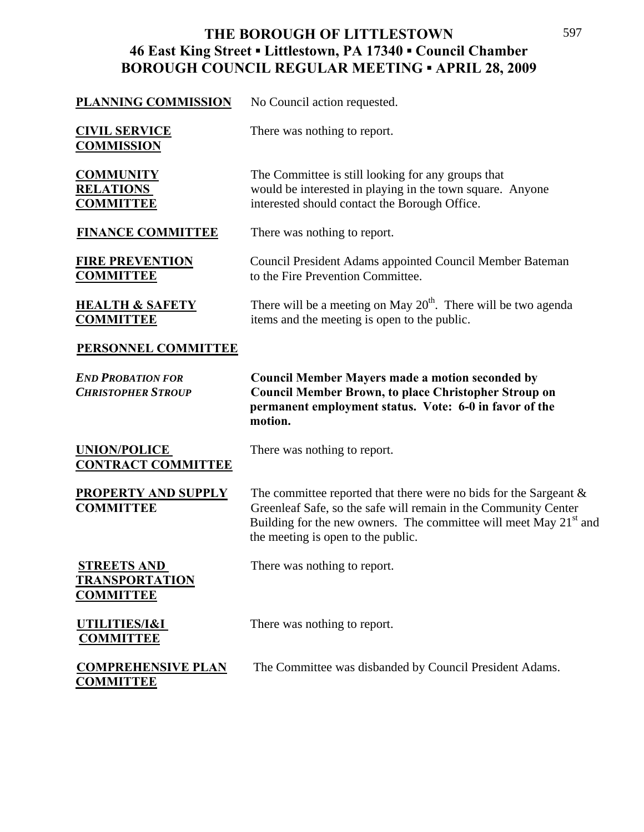### **THE BOROUGH OF LITTLESTOWN 46 East King Street ▪ Littlestown, PA 17340 ▪ Council Chamber BOROUGH COUNCIL REGULAR MEETING ▪ APRIL 28, 2009**  $\frac{1}{2}$

| <b>PLANNING COMMISSION</b>                                      | No Council action requested.                                                                                                                                                                                                                         |
|-----------------------------------------------------------------|------------------------------------------------------------------------------------------------------------------------------------------------------------------------------------------------------------------------------------------------------|
| <b>CIVIL SERVICE</b><br><b>COMMISSION</b>                       | There was nothing to report.                                                                                                                                                                                                                         |
| <b>COMMUNITY</b><br><b>RELATIONS</b><br><b>COMMITTEE</b>        | The Committee is still looking for any groups that<br>would be interested in playing in the town square. Anyone<br>interested should contact the Borough Office.                                                                                     |
| <b>FINANCE COMMITTEE</b>                                        | There was nothing to report.                                                                                                                                                                                                                         |
| <b>FIRE PREVENTION</b><br><b>COMMITTEE</b>                      | <b>Council President Adams appointed Council Member Bateman</b><br>to the Fire Prevention Committee.                                                                                                                                                 |
| <b>HEALTH &amp; SAFETY</b><br><b>COMMITTEE</b>                  | There will be a meeting on May $20th$ . There will be two agenda<br>items and the meeting is open to the public.                                                                                                                                     |
| <b>PERSONNEL COMMITTEE</b>                                      |                                                                                                                                                                                                                                                      |
| <b>END PROBATION FOR</b><br><b>CHRISTOPHER STROUP</b>           | <b>Council Member Mayers made a motion seconded by</b><br><b>Council Member Brown, to place Christopher Stroup on</b><br>permanent employment status. Vote: 6-0 in favor of the                                                                      |
|                                                                 | motion.                                                                                                                                                                                                                                              |
| <b>UNION/POLICE</b><br><b>CONTRACT COMMITTEE</b>                | There was nothing to report.                                                                                                                                                                                                                         |
| <b>PROPERTY AND SUPPLY</b><br><b>COMMITTEE</b>                  | The committee reported that there were no bids for the Sargeant $\&$<br>Greenleaf Safe, so the safe will remain in the Community Center<br>Building for the new owners. The committee will meet May $21st$ and<br>the meeting is open to the public. |
| <b>STREETS AND</b><br><b>TRANSPORTATION</b><br><b>COMMITTEE</b> | There was nothing to report.                                                                                                                                                                                                                         |
| UTILITIES/I&I<br><b>COMMITTEE</b>                               | There was nothing to report.                                                                                                                                                                                                                         |